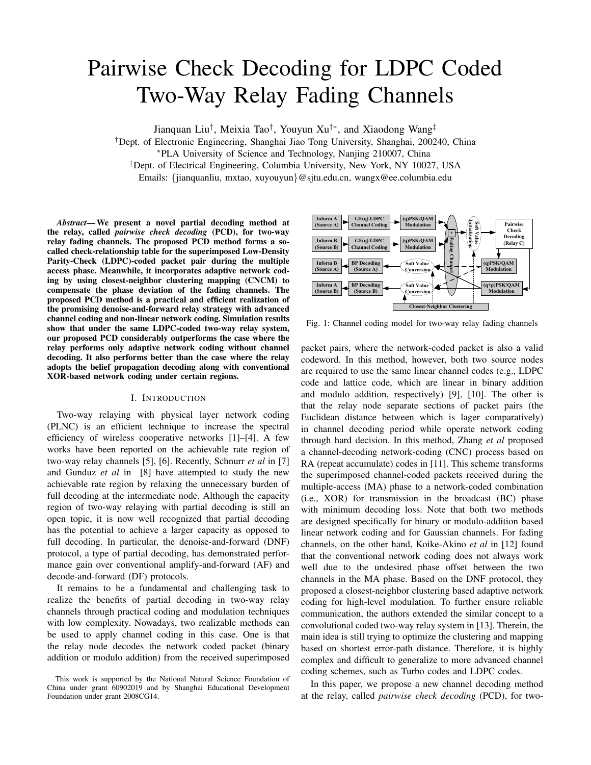# Pairwise Check Decoding for LDPC Coded Two-Way Relay Fading Channels

Jianquan Liu† , Meixia Tao† , Youyun Xu†∗, and Xiaodong Wang‡

†Dept. of Electronic Engineering, Shanghai Jiao Tong University, Shanghai, 200240, China

<sup>∗</sup>PLA University of Science and Technology, Nanjing 210007, China

‡Dept. of Electrical Engineering, Columbia University, New York, NY 10027, USA

Emails: {jianquanliu, mxtao, xuyouyun}@sjtu.edu.cn, wangx@ee.columbia.edu

*Abstract*— We present a novel partial decoding method at the relay, called *pairwise check decoding* (PCD), for two-way relay fading channels. The proposed PCD method forms a socalled check-relationship table for the superimposed Low-Density Parity-Check (LDPC)-coded packet pair during the multiple access phase. Meanwhile, it incorporates adaptive network coding by using closest-neighbor clustering mapping (CNCM) to compensate the phase deviation of the fading channels. The proposed PCD method is a practical and efficient realization of the promising denoise-and-forward relay strategy with advanced channel coding and non-linear network coding. Simulation results show that under the same LDPC-coded two-way relay system, our proposed PCD considerably outperforms the case where the relay performs only adaptive network coding without channel decoding. It also performs better than the case where the relay adopts the belief propagation decoding along with conventional XOR-based network coding under certain regions.

### I. INTRODUCTION

Two-way relaying with physical layer network coding (PLNC) is an efficient technique to increase the spectral efficiency of wireless cooperative networks [1]–[4]. A few works have been reported on the achievable rate region of two-way relay channels [5], [6]. Recently, Schnurr *et al* in [7] and Gunduz *et al* in [8] have attempted to study the new achievable rate region by relaxing the unnecessary burden of full decoding at the intermediate node. Although the capacity region of two-way relaying with partial decoding is still an open topic, it is now well recognized that partial decoding has the potential to achieve a larger capacity as opposed to full decoding. In particular, the denoise-and-forward (DNF) protocol, a type of partial decoding, has demonstrated performance gain over conventional amplify-and-forward (AF) and decode-and-forward (DF) protocols.

It remains to be a fundamental and challenging task to realize the benefits of partial decoding in two-way relay channels through practical coding and modulation techniques with low complexity. Nowadays, two realizable methods can be used to apply channel coding in this case. One is that the relay node decodes the network coded packet (binary addition or modulo addition) from the received superimposed



Fig. 1: Channel coding model for two-way relay fading channels

packet pairs, where the network-coded packet is also a valid codeword. In this method, however, both two source nodes are required to use the same linear channel codes (e.g., LDPC code and lattice code, which are linear in binary addition and modulo addition, respectively) [9], [10]. The other is that the relay node separate sections of packet pairs (the Euclidean distance between which is lager comparatively) in channel decoding period while operate network coding through hard decision. In this method, Zhang *et al* proposed a channel-decoding network-coding (CNC) process based on RA (repeat accumulate) codes in [11]. This scheme transforms the superimposed channel-coded packets received during the multiple-access (MA) phase to a network-coded combination (i.e., XOR) for transmission in the broadcast (BC) phase with minimum decoding loss. Note that both two methods are designed specifically for binary or modulo-addition based linear network coding and for Gaussian channels. For fading channels, on the other hand, Koike-Akino *et al* in [12] found that the conventional network coding does not always work well due to the undesired phase offset between the two channels in the MA phase. Based on the DNF protocol, they proposed a closest-neighbor clustering based adaptive network coding for high-level modulation. To further ensure reliable communication, the authors extended the similar concept to a convolutional coded two-way relay system in [13]. Therein, the main idea is still trying to optimize the clustering and mapping based on shortest error-path distance. Therefore, it is highly complex and difficult to generalize to more advanced channel coding schemes, such as Turbo codes and LDPC codes.

In this paper, we propose a new channel decoding method at the relay, called *pairwise check decoding* (PCD), for two-

This work is supported by the National Natural Science Foundation of China under grant 60902019 and by Shanghai Educational Development Foundation under grant 2008CG14.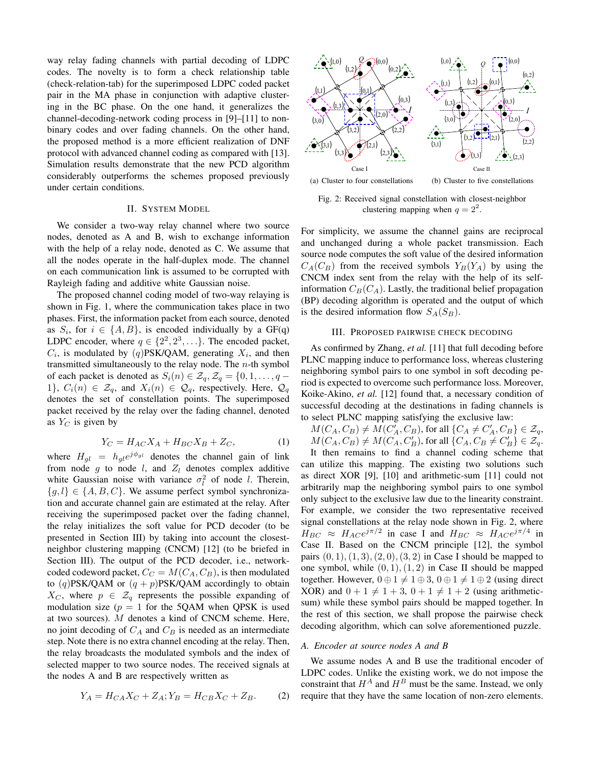way relay fading channels with partial decoding of LDPC codes. The novelty is to form a check relationship table (check-relation-tab) for the superimposed LDPC coded packet pair in the MA phase in conjunction with adaptive clustering in the BC phase. On the one hand, it generalizes the channel-decoding-network coding process in [9]–[11] to nonbinary codes and over fading channels. On the other hand, the proposed method is a more efficient realization of DNF protocol with advanced channel coding as compared with [13]. Simulation results demonstrate that the new PCD algorithm considerably outperforms the schemes proposed previously under certain conditions.

#### II. SYSTEM MODEL

We consider a two-way relay channel where two source nodes, denoted as A and B, wish to exchange information with the help of a relay node, denoted as C. We assume that all the nodes operate in the half-duplex mode. The channel on each communication link is assumed to be corrupted with Rayleigh fading and additive white Gaussian noise.

The proposed channel coding model of two-way relaying is shown in Fig. 1, where the communication takes place in two phases. First, the information packet from each source, denoted as  $S_i$ , for  $i \in \{A, B\}$ , is encoded individually by a GF(q) LDPC encoder, where  $q \in \{2^2, 2^3, \ldots\}$ . The encoded packet,  $C_i$ , is modulated by (q)PSK/QAM, generating  $X_i$ , and then transmitted simultaneously to the relay node. The  $n$ -th symbol of each packet is denoted as  $S_i(n) \in \mathcal{Z}_q$ ,  $\mathcal{Z}_q = \{0, 1, \ldots, q - \}$ 1},  $C_i(n) \in \mathcal{Z}_q$ , and  $X_i(n) \in \mathcal{Q}_q$ , respectively. Here,  $\mathcal{Q}_q$ denotes the set of constellation points. The superimposed packet received by the relay over the fading channel, denoted as  $Y_C$  is given by

$$
Y_C = H_{AC}X_A + H_{BC}X_B + Z_C,\tag{1}
$$

where  $H_{gl} = h_{gl}e^{j\phi_{gl}}$  denotes the channel gain of link from node  $g$  to node  $l$ , and  $Z_l$  denotes complex additive white Gaussian noise with variance  $\sigma_l^2$  of node *l*. Therein,  ${g, l} \in {A, B, C}$ . We assume perfect symbol synchronization and accurate channel gain are estimated at the relay. After receiving the superimposed packet over the fading channel, the relay initializes the soft value for PCD decoder (to be presented in Section III) by taking into account the closestneighbor clustering mapping (CNCM) [12] (to be briefed in Section III). The output of the PCD decoder, i.e., networkcoded codeword packet,  $C_C = M(C_A, C_B)$ , is then modulated to  $(q)$ PSK/QAM or  $(q + p)$ PSK/QAM accordingly to obtain  $X_C$ , where  $p \in \mathcal{Z}_q$  represents the possible expanding of modulation size ( $p = 1$  for the 5QAM when QPSK is used at two sources). M denotes a kind of CNCM scheme. Here, no joint decoding of  $C_A$  and  $C_B$  is needed as an intermediate step. Note there is no extra channel encoding at the relay. Then, the relay broadcasts the modulated symbols and the index of selected mapper to two source nodes. The received signals at the nodes A and B are respectively written as

$$
Y_A = H_{CA}X_C + Z_A; Y_B = H_{CB}X_C + Z_B.
$$
 (2)



Fig. 2: Received signal constellation with closest-neighbor clustering mapping when  $q = 2^2$ .

For simplicity, we assume the channel gains are reciprocal and unchanged during a whole packet transmission. Each source node computes the soft value of the desired information  $C_A(C_B)$  from the received symbols  $Y_B(Y_A)$  by using the CNCM index sent from the relay with the help of its selfinformation  $C_B(C_A)$ . Lastly, the traditional belief propagation (BP) decoding algorithm is operated and the output of which is the desired information flow  $S_A(S_B)$ .

# III. PROPOSED PAIRWISE CHECK DECODING

As confirmed by Zhang, *et al.* [11] that full decoding before PLNC mapping induce to performance loss, whereas clustering neighboring symbol pairs to one symbol in soft decoding period is expected to overcome such performance loss. Moreover, Koike-Akino, *et al.* [12] found that, a necessary condition of successful decoding at the destinations in fading channels is to select PLNC mapping satisfying the exclusive law:

 $M(C_A, C_B) \neq M(C'_A, C_B)$ , for all  $\{C_A \neq C'_A, C_B\} \in \mathcal{Z}_q$ ,  $M(C_A, C_B) \neq M(C_A, C_B')$ , for all  $\{C_A, C_B \neq C_B'\} \in \mathcal{Z}_q$ .

It then remains to find a channel coding scheme that can utilize this mapping. The existing two solutions such as direct XOR [9], [10] and arithmetic-sum [11] could not arbitrarily map the neighboring symbol pairs to one symbol only subject to the exclusive law due to the linearity constraint. For example, we consider the two representative received signal constellations at the relay node shown in Fig. 2, where  $H_{BC} \approx H_{AC}e^{j\pi/2}$  in case I and  $H_{BC} \approx H_{AC}e^{j\pi/4}$  in Case II. Based on the CNCM principle [12], the symbol pairs  $(0, 1), (1, 3), (2, 0), (3, 2)$  in Case I should be mapped to one symbol, while  $(0, 1), (1, 2)$  in Case II should be mapped together. However,  $0 \oplus 1 \neq 1 \oplus 3$ ,  $0 \oplus 1 \neq 1 \oplus 2$  (using direct XOR) and  $0 + 1 \neq 1 + 3$ ,  $0 + 1 \neq 1 + 2$  (using arithmeticsum) while these symbol pairs should be mapped together. In the rest of this section, we shall propose the pairwise check decoding algorithm, which can solve aforementioned puzzle.

#### *A. Encoder at source nodes A and B*

We assume nodes A and B use the traditional encoder of LDPC codes. Unlike the existing work, we do not impose the constraint that  $H^A$  and  $H^B$  must be the same. Instead, we only require that they have the same location of non-zero elements.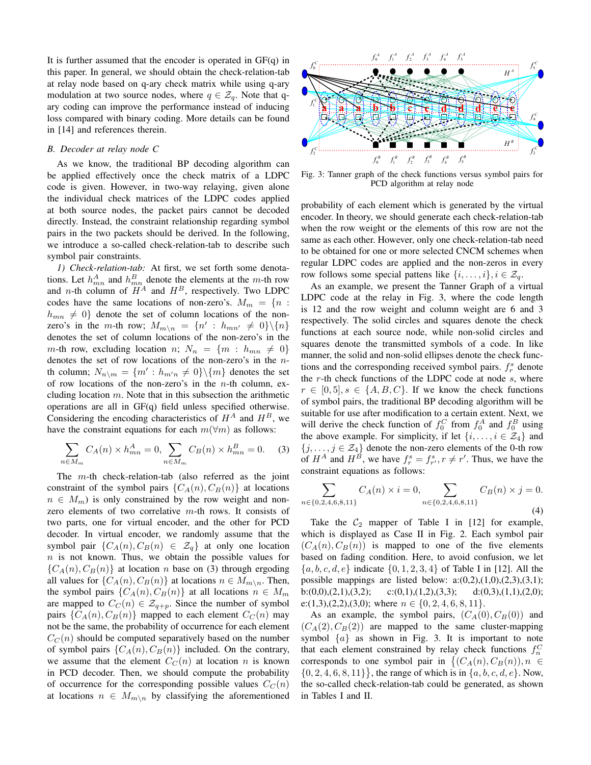It is further assumed that the encoder is operated in  $GF(q)$  in this paper. In general, we should obtain the check-relation-tab at relay node based on q-ary check matrix while using q-ary modulation at two source nodes, where  $q \in \mathcal{Z}_q$ . Note that qary coding can improve the performance instead of inducing loss compared with binary coding. More details can be found in [14] and references therein.

# *B. Decoder at relay node C*

As we know, the traditional BP decoding algorithm can be applied effectively once the check matrix of a LDPC code is given. However, in two-way relaying, given alone the individual check matrices of the LDPC codes applied at both source nodes, the packet pairs cannot be decoded directly. Instead, the constraint relationship regarding symbol pairs in the two packets should be derived. In the following, we introduce a so-called check-relation-tab to describe such symbol pair constraints.

*1) Check-relation-tab:* At first, we set forth some denotations. Let  $h_{mn}^A$  and  $h_{mn}^B$  denote the elements at the m-th row and *n*-th column of  $H^A$  and  $H^B$ , respectively. Two LDPC codes have the same locations of non-zero's.  $M_m = \{n :$  $h_{mn} \neq 0$ } denote the set of column locations of the nonzero's in the m-th row;  $M_{m \setminus n} = \{n' : h_{mn'} \neq 0\} \setminus \{n\}$ denotes the set of column locations of the non-zero's in the m-th row, excluding location n;  $N_n = \{m : h_{mn} \neq 0\}$ denotes the set of row locations of the non-zero's in the nth column;  $N_{n\setminus m} = \{m' : h_{m'n} \neq 0\} \setminus \{m\}$  denotes the set of row locations of the non-zero's in the  $n$ -th column, excluding location  $m$ . Note that in this subsection the arithmetic operations are all in GF(q) field unless specified otherwise. Considering the encoding characteristics of  $H^A$  and  $H^B$ , we have the constraint equations for each  $m(\forall m)$  as follows:

$$
\sum_{n \in M_m} C_A(n) \times h_{mn}^A = 0, \sum_{n \in M_m} C_B(n) \times h_{mn}^B = 0.
$$
 (3)

The m-th check-relation-tab (also referred as the joint constraint of the symbol pairs  $\{C_A(n), C_B(n)\}\$ at locations  $n \in M_m$ ) is only constrained by the row weight and nonzero elements of two correlative  $m$ -th rows. It consists of two parts, one for virtual encoder, and the other for PCD decoder. In virtual encoder, we randomly assume that the symbol pair  $\{C_A(n), C_B(n) \in \mathcal{Z}_q\}$  at only one location  $n$  is not known. Thus, we obtain the possible values for  ${C_A(n), C_B(n)}$  at location n base on (3) through ergoding all values for  $\{C_A(n), C_B(n)\}\$ at locations  $n \in M_{m \setminus n}$ . Then, the symbol pairs  $\{C_A(n), C_B(n)\}\$ at all locations  $n \in M_m$ are mapped to  $C_C(n) \in \mathcal{Z}_{q+p}$ . Since the number of symbol pairs  $\{C_A(n), C_B(n)\}\$  mapped to each element  $C_C(n)$  may not be the same, the probability of occurrence for each element  $C<sub>C</sub>(n)$  should be computed separatively based on the number of symbol pairs  $\{C_A(n), C_B(n)\}\$  included. On the contrary, we assume that the element  $C_C(n)$  at location n is known in PCD decoder. Then, we should compute the probability of occurrence for the corresponding possible values  $C_C(n)$ at locations  $n \in M_{m \setminus n}$  by classifying the aforementioned



Fig. 3: Tanner graph of the check functions versus symbol pairs for PCD algorithm at relay node

probability of each element which is generated by the virtual encoder. In theory, we should generate each check-relation-tab when the row weight or the elements of this row are not the same as each other. However, only one check-relation-tab need to be obtained for one or more selected CNCM schemes when regular LDPC codes are applied and the non-zeros in every row follows some special pattens like  $\{i, \ldots, i\}, i \in \mathcal{Z}_q$ .

As an example, we present the Tanner Graph of a virtual LDPC code at the relay in Fig. 3, where the code length is 12 and the row weight and column weight are 6 and 3 respectively. The solid circles and squares denote the check functions at each source node, while non-solid circles and squares denote the transmitted symbols of a code. In like manner, the solid and non-solid ellipses denote the check functions and the corresponding received symbol pairs.  $f_r^s$  denote the  $r$ -th check functions of the LDPC code at node  $s$ , where  $r \in [0, 5], s \in \{A, B, C\}$ . If we know the check functions of symbol pairs, the traditional BP decoding algorithm will be suitable for use after modification to a certain extent. Next, we will derive the check function of  $f_0^C$  from  $f_0^A$  and  $f_0^B$  using the above example. For simplicity, if let  $\{i, \ldots, i \in \mathcal{Z}_4\}$  and  $\{j, \ldots, j \in \mathcal{Z}_4\}$  denote the non-zero elements of the 0-th row of  $H^A$  and  $H^B$ , we have  $f_r^s = f_{r'}^s, r \neq r'$ . Thus, we have the constraint equations as follows:

$$
\sum_{n \in \{0,2,4,6,8,11\}} C_A(n) \times i = 0, \sum_{n \in \{0,2,4,6,8,11\}} C_B(n) \times j = 0.
$$
\n(4)

Take the  $C_2$  mapper of Table I in [12] for example, which is displayed as Case II in Fig. 2. Each symbol pair  $(C_A(n), C_B(n))$  is mapped to one of the five elements based on fading condition. Here, to avoid confusion, we let  ${a, b, c, d, e}$  indicate  ${0, 1, 2, 3, 4}$  of Table I in [12]. All the possible mappings are listed below:  $a:(0,2),(1,0),(2,3),(3,1);$ b:(0,0),(2,1),(3,2); c:(0,1),(1,2),(3,3); d:(0,3),(1,1),(2,0); e:(1,3),(2,2),(3,0); where  $n \in \{0, 2, 4, 6, 8, 11\}$ .

As an example, the symbol pairs,  $(C_A(0), C_B(0))$  and  $(C_A(2), C_B(2))$  are mapped to the same cluster-mapping symbol  $\{a\}$  as shown in Fig. 3. It is important to note that each element constrained by relay check functions  $f_n^C$ that each element constrained by relay check functions  $J_n^{\infty}$ <br>corresponds to one symbol pair in  $\{(C_A(n), C_B(n)), n \in$  $\{0, 2, 4, 6, 8, 11\}$ , the range of which is in  $\{a, b, c, d, e\}$ . Now, the so-called check-relation-tab could be generated, as shown in Tables I and II.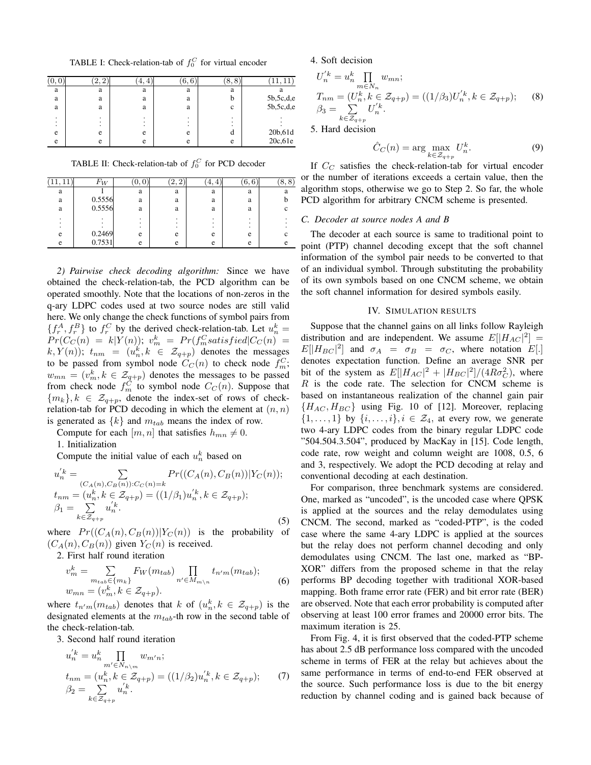TABLE I: Check-relation-tab of  $f_0^C$  for virtual encoder

|   |   | ±. | 6,6    | 8,8 |           |
|---|---|----|--------|-----|-----------|
| a | a | a  | a      | a   |           |
| a | a | a  | a      | h   | 5b,5c,d,e |
| a | a | a  | a      | c   | 5b,5c,d,e |
|   | ٠ |    | ٠<br>٠ | ٠   |           |
|   | ٠ |    | ٠      |     |           |
| e | e | e  | e      | . . | 20b,61d   |
| e | e | e  | e      | e   | 20c, 61e  |

TABLE II: Check-relation-tab of  $f_0^C$  for PCD decoder

| 11<br>′ 1 1 | $F_W$  | v. v | c<br>ച<br>z. | . 4. | 6, 6 | 8, 8 |
|-------------|--------|------|--------------|------|------|------|
| a           |        | a    | a            | a    | a    |      |
| a           | 0.5556 | a    | a            | a    | a    |      |
| a           | 0.5556 | a    | a            | a    | a    |      |
|             |        |      |              |      |      |      |
| e           | 0.2469 | e    | e            | e    | e    |      |
| e           | 0.7531 | e    | e            | e    | e    |      |

*2) Pairwise check decoding algorithm:* Since we have obtained the check-relation-tab, the PCD algorithm can be operated smoothly. Note that the locations of non-zeros in the q-ary LDPC codes used at two source nodes are still valid here. We only change the check functions of symbol pairs from  $\{f_r^A, f_r^B\}$  to  $f_r^C$  by the derived check-relation-tab. Let  $u_n^k =$  $Pr(C_C(n) = k|Y(n)); v_m^k = Pr(f_m^C satisfied|C_C(n) =$  $(k, Y(n))$ ;  $t_{nm} = (u_n^k, k \in \mathcal{Z}_{q+p})$  denotes the messages to be passed from symbol node  $\hat{C}_C(n)$  to check node  $f_m^C$ ;  $w_{mn} = (v_m^k, k \in \mathcal{Z}_{q+p})$  denotes the messages to be passed from check node  $f_m^{\tilde{C}}$  to symbol node  $C_C(n)$ . Suppose that  ${m_k}, k \in \mathcal{Z}_{q+p}$ , denote the index-set of rows of checkrelation-tab for PCD decoding in which the element at  $(n, n)$ is generated as  $\{k\}$  and  $m_{tab}$  means the index of row.

Compute for each  $[m, n]$  that satisfies  $h_{mn} \neq 0$ .

1. Initialization

Compute the initial value of each  $u_n^k$  based on

$$
u_n'^k = \sum_{\substack{(C_A(n), C_B(n)): C_C(n)=k\\t_{nm}=(u_n^k, k \in \mathcal{Z}_{q+p})=((1/\beta_1)u_n'^k, k \in \mathcal{Z}_{q+p});\\ \beta_1 = \sum_{k \in \mathcal{Z}_{q+p}} u_n'^k.
$$
\n(5)

where  $Pr((C_A(n), C_B(n))|Y_C(n))$  is the probability of  $(C_A(n), C_B(n))$  given  $Y_C(n)$  is received.

2. First half round iteration  $\overline{ }$ 

$$
v_m^k = \sum_{m_{tab} \in \{m_k\}} F_W(m_{tab}) \prod_{n' \in M_{m \setminus n}} t_{n'm}(m_{tab});
$$
  

$$
w_{mn} = (v_m^k, k \in \mathcal{Z}_{q+p}).
$$
 (6)

where  $t_{n'm}(m_{tab})$  denotes that k of  $(u_n^k, k \in \mathcal{Z}_{q+p})$  is the designated elements at the  $m_{tab}$ -th row in the second table of the check-relation-tab.

3. Second half round iteration

$$
u_n'^k = u_n^k \prod_{\substack{m' \in N_{n \setminus m} \\ n_m = (u_n^k, k \in \mathcal{Z}_{q+p})}} w_{m'n};
$$
  
\n
$$
t_{nm} = (u_n^k, k \in \mathcal{Z}_{q+p}) = ((1/\beta_2)u_n'^k, k \in \mathcal{Z}_{q+p});
$$
 (7)  
\n
$$
\beta_2 = \sum_{k \in \mathcal{Z}_{q+p}} u_n'^k.
$$

4. Soft decision

$$
U_n^{'k} = u_n^k \prod_{m \in N_n} w_{mn};
$$
  
\n
$$
T_{nm} = (U_n^k, k \in \mathcal{Z}_{q+p}) = ((1/\beta_3)U_n^{'k}, k \in \mathcal{Z}_{q+p});
$$
  
\n
$$
\beta_3 = \sum_{k \in \mathcal{Z}_{q+p}} U_n^{'k}.
$$
  
\n5. Hard decision

5. Hard decision

$$
\hat{C}_C(n) = \arg\max_{k \in \mathcal{Z}_{q+p}} U_n^k.
$$
 (9)

If  $C_C$  satisfies the check-relation-tab for virtual encoder or the number of iterations exceeds a certain value, then the algorithm stops, otherwise we go to Step 2. So far, the whole PCD algorithm for arbitrary CNCM scheme is presented.

## *C. Decoder at source nodes A and B*

The decoder at each source is same to traditional point to point (PTP) channel decoding except that the soft channel information of the symbol pair needs to be converted to that of an individual symbol. Through substituting the probability of its own symbols based on one CNCM scheme, we obtain the soft channel information for desired symbols easily.

#### IV. SIMULATION RESULTS

Suppose that the channel gains on all links follow Rayleigh distribution and are independent. We assume  $E[|H_{AC}|^2] =$  $E[|H_{BC}|^2]$  and  $\sigma_A = \sigma_B = \sigma_C$ , where notation  $E[.]$ denotes expectation function. Define an average SNR per bit of the system as  $E[|H_{AC}|^2 + |H_{BC}|^2]/(4R\sigma_C^2)$ , where  $R$  is the code rate. The selection for CNCM scheme is based on instantaneous realization of the channel gain pair  ${H_{AC}, H_{BC}}$  using Fig. 10 of [12]. Moreover, replacing  $\{1, \ldots, 1\}$  by  $\{i, \ldots, i\}, i \in \mathcal{Z}_4$ , at every row, we generate two 4-ary LDPC codes from the binary regular LDPC code "504.504.3.504", produced by MacKay in [15]. Code length, code rate, row weight and column weight are 1008, 0.5, 6 and 3, respectively. We adopt the PCD decoding at relay and conventional decoding at each destination.

For comparison, three benchmark systems are considered. One, marked as "uncoded", is the uncoded case where QPSK is applied at the sources and the relay demodulates using CNCM. The second, marked as "coded-PTP", is the coded case where the same 4-ary LDPC is applied at the sources but the relay does not perform channel decoding and only demodulates using CNCM. The last one, marked as "BP-XOR" differs from the proposed scheme in that the relay performs BP decoding together with traditional XOR-based mapping. Both frame error rate (FER) and bit error rate (BER) are observed. Note that each error probability is computed after observing at least 100 error frames and 20000 error bits. The maximum iteration is 25.

From Fig. 4, it is first observed that the coded-PTP scheme has about 2.5 dB performance loss compared with the uncoded scheme in terms of FER at the relay but achieves about the same performance in terms of end-to-end FER observed at the source. Such performance loss is due to the bit energy reduction by channel coding and is gained back because of